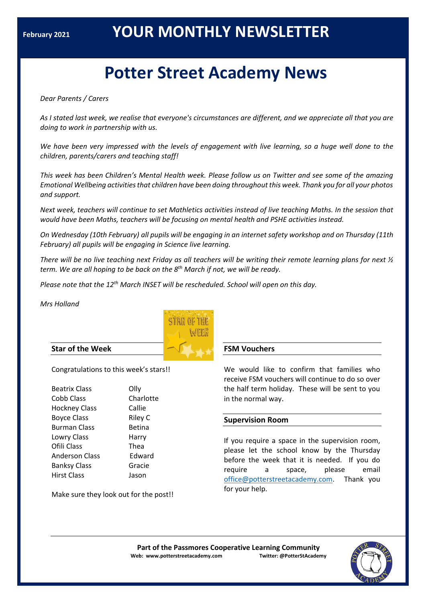# **Potter Street Academy News**

*Dear Parents / Carers*

*As I stated last week, we realise that everyone's circumstances are different, and we appreciate all that you are doing to work in partnership with us.*

We have been very impressed with the levels of engagement with live learning, so a huge well done to the *children, parents/carers and teaching staff!*

*This week has been Children's Mental Health week. Please follow us on Twitter and see some of the amazing Emotional Wellbeing activities that children have been doing throughout this week. Thank you for all your photos and support.* 

*Next week, teachers will continue to set Mathletics activities instead of live teaching Maths. In the session that would have been Maths, teachers will be focusing on mental health and PSHE activities instead.*

*On Wednesday (10th February) all pupils will be engaging in an internet safety workshop and on Thursday (11th February) all pupils will be engaging in Science live learning.*

There will be no live teaching next Friday as all teachers will be writing their remote learning plans for next  $\frac{1}{2}$ *term. We are all hoping to be back on the 8 th March if not, we will be ready.*

*Please note that the 12th March INSET will be rescheduled. School will open on this day.* 

*Mrs Holland*



## **Star of the Week**

Congratulations to this week's stars!!

| <b>Beatrix Class</b>  | Ollv          |
|-----------------------|---------------|
| Cobb Class            | Charlotte     |
| <b>Hockney Class</b>  | Callie        |
| <b>Boyce Class</b>    | Riley C       |
| <b>Burman Class</b>   | <b>Betina</b> |
| Lowry Class           | Harry         |
| Ofili Class           | Thea          |
| <b>Anderson Class</b> | Edward        |
| <b>Banksy Class</b>   | Gracie        |
| <b>Hirst Class</b>    | Jason         |
|                       |               |

Make sure they look out for the post!!

## **FSM Vouchers**

We would like to confirm that families who receive FSM vouchers will continue to do so over the half term holiday. These will be sent to you in the normal way.

## **Supervision Room**

If you require a space in the supervision room, please let the school know by the Thursday before the week that it is needed. If you do require a space, please email [office@potterstreetacademy.com.](about:blank) Thank you for your help.

**Part of the Passmores Cooperative Learning Community Web: www.potterstreetacademy.com Twitter: @PotterStAcademy**